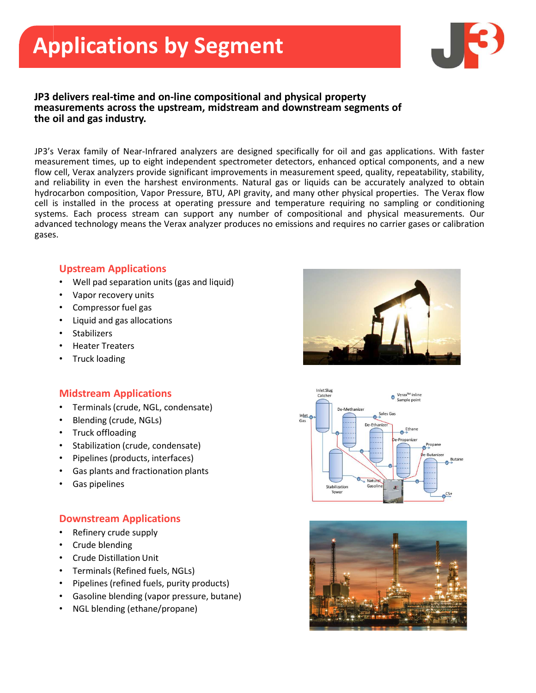

#### JP3 delivers real-time and on-line compositional and physical property measurements across the upstream, midstream and downstream segments of the oil and gas industry.

**Applications by Segment and physical property**<br>JP3's delivers real-time and on-line compositional and physical property<br>measurements across the upstream, midstream and downstream segments of<br>the oil and gas industry.<br>JP3' **Applications by Segment and physical property**<br> **IP3 delivers real-time and on-line compositional and physical property**<br>
IP3's Verax family of Near-Infrared analyzers are designed specifically for oil and gas application **Applications by Segment and physical property**<br>
measurements across the upstream, midstream and downstream segments of<br>
the oil and gas industry.<br>
JP3's Verax family of Near-Infrared analyzers are designed specifically fo **Applications by Segment and physical property**<br>
measurements across the upstream, midstream and downstream segments of<br>
the oil and gas industry.<br>
JP3's Verax family of Near-Infrared analyzers are designed specifically fo **Applications by Segment and physical property**<br>measurements across the upstream, midstream and downstream segments of<br>the oil and gas industry.<br>
HP3's Verax family of Near-Infrared analyzers are designed specifically for **Applications by Segment And My Segment (Fig. 1993)**<br>
From designers are alternated and on-line compositional and physical property<br>
measurements across the upstream, midstream and downstream segments of<br>
the oil and gas i **Systems. Each process stream can support any number of compositions and gas industries are assumements are designed specifically for oil and gas applications. With faster measurements are assumed by the end industry, and Applications by Segment American and physical property**<br> **Practions real-time and on-line compositional and physical property**<br>
the oil and gas industry.<br>
The value analyzer produce is measurement throes, up to eight inde gases.

### Upstream Applications

- Well pad separation units (gas and liquid)
- Vapor recovery units
- Compressor fuel gas
- Liquid and gas allocations
- **Stabilizers**
- Heater Treaters
- Truck loading

### Midstream Applications

- Terminals (crude, NGL, condensate)
- Blending (crude, NGLs)
- Truck offloading
- Stabilization (crude, condensate)
- Pipelines (products, interfaces)
- Gas plants and fractionation plants
- Gas pipelines

### Downstream Applications

- Refinery crude supply
- Crude blending
- Crude Distillation Unit
- Terminals (Refined fuels, NGLs)
- Pipelines (refined fuels, purity products)
- Gasoline blending (vapor pressure, butane)
- NGL blending (ethane/propane)